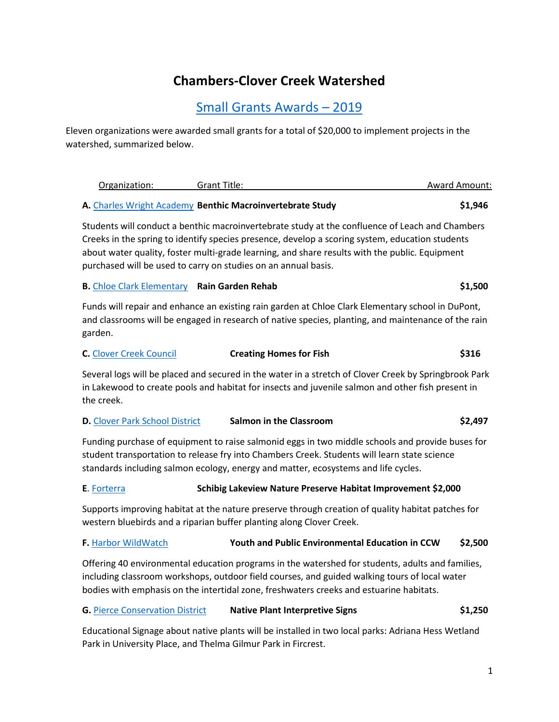# **Chambers-Clover Creek Watershed**

## [Small Grants Awards](http://www.piercecountywa.gov/1872/Small-Grants-Program) – 2019

Eleven organizations were awarded small grants for a total of \$20,000 to implement projects in the watershed, summarized below.

| Organization: | Grant Title:                                              | <b>Award Amount:</b> |
|---------------|-----------------------------------------------------------|----------------------|
|               | A. Charles Wright Academy Benthic Macroinvertebrate Study | \$1.946              |

Students will conduct a benthic macroinvertebrate study at the confluence of Leach and Chambers Creeks in the spring to identify species presence, develop a scoring system, education students about water quality, foster multi-grade learning, and share results with the public. Equipment purchased will be used to carry on studies on an annual basis.

#### **B.** [Chloe Clark Elementary](https://www.steilacoom.k12.wa.us/chloeclark) **Rain Garden Rehab \$1,500**

Funds will repair and enhance an existing rain garden at Chloe Clark Elementary school in DuPont, and classrooms will be engaged in research of native species, planting, and maintenance of the rain garden.

| <b>C.</b> Clover Creek Council | <b>Creating Homes for Fish</b> | \$316 |
|--------------------------------|--------------------------------|-------|
|--------------------------------|--------------------------------|-------|

Several logs will be placed and secured in the water in a stretch of Clover Creek by Springbrook Park in Lakewood to create pools and habitat for insects and juvenile salmon and other fish present in the creek.

## **D.** [Clover Park School District](http://www.cloverpark.k12.wa.us/) **Salmon in the Classroom <b>\$2,497**

Funding purchase of equipment to raise salmonid eggs in two middle schools and provide buses for student transportation to release fry into Chambers Creek. Students will learn state science standards including salmon ecology, energy and matter, ecosystems and life cycles.

## **E**[. Forterra](https://forterra.org/) **Schibig Lakeview Nature Preserve Habitat Improvement \$2,000**

Supports improving habitat at the nature preserve through creation of quality habitat patches for western bluebirds and a riparian buffer planting along Clover Creek.

## **F.** [Harbor WildWatch](http://www.harborwildwatch.org/) **Youth and Public Environmental Education in CCW \$2,500**

Offering 40 environmental education programs in the watershed for students, adults and families, including classroom workshops, outdoor field courses, and guided walking tours of local water bodies with emphasis on the intertidal zone, freshwaters creeks and estuarine habitats.

## **G.** [Pierce Conservation District](http://piercecd.org/) **Native Plant Interpretive Signs \$1,250**

Educational Signage about native plants will be installed in two local parks: Adriana Hess Wetland Park in University Place, and Thelma Gilmur Park in Fircrest.